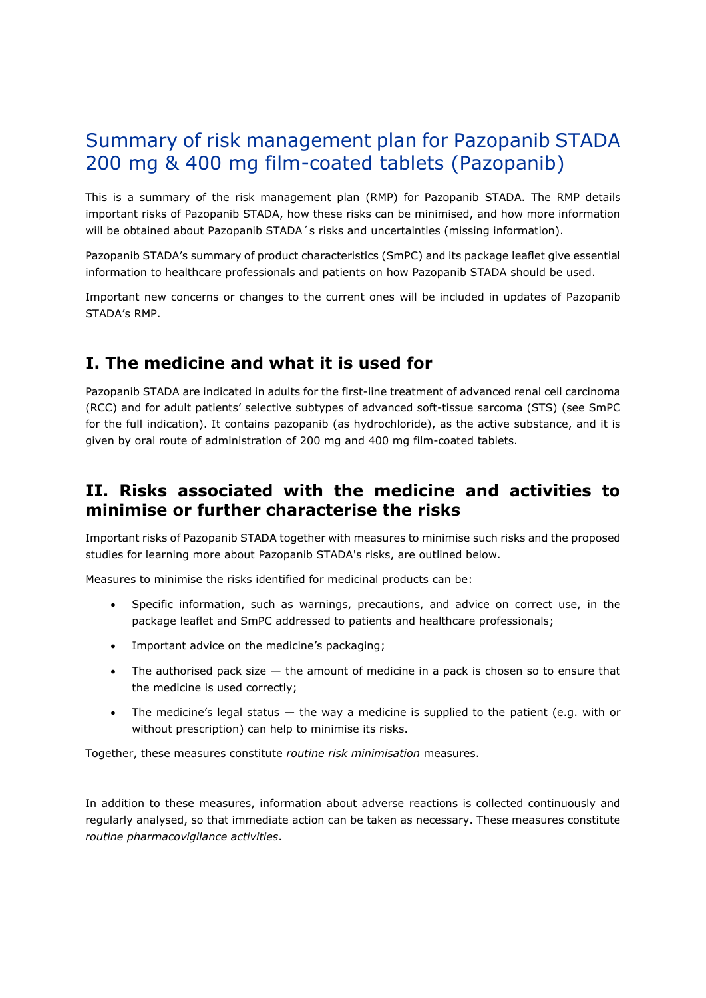# Summary of risk management plan for Pazopanib STADA 200 mg & 400 mg film-coated tablets (Pazopanib)

This is a summary of the risk management plan (RMP) for Pazopanib STADA. The RMP details important risks of Pazopanib STADA, how these risks can be minimised, and how more information will be obtained about Pazopanib STADA's risks and uncertainties (missing information).

Pazopanib STADA's summary of product characteristics (SmPC) and its package leaflet give essential information to healthcare professionals and patients on how Pazopanib STADA should be used.

Important new concerns or changes to the current ones will be included in updates of Pazopanib STADA's RMP.

## **I. The medicine and what it is used for**

Pazopanib STADA are indicated in adults for the first-line treatment of advanced renal cell carcinoma (RCC) and for adult patients' selective subtypes of advanced soft-tissue sarcoma (STS) (see SmPC for the full indication). It contains pazopanib (as hydrochloride), as the active substance, and it is given by oral route of administration of 200 mg and 400 mg film-coated tablets.

### **II. Risks associated with the medicine and activities to minimise or further characterise the risks**

Important risks of Pazopanib STADA together with measures to minimise such risks and the proposed studies for learning more about Pazopanib STADA's risks, are outlined below.

Measures to minimise the risks identified for medicinal products can be:

- Specific information, such as warnings, precautions, and advice on correct use, in the package leaflet and SmPC addressed to patients and healthcare professionals;
- Important advice on the medicine's packaging;
- The authorised pack size  $-$  the amount of medicine in a pack is chosen so to ensure that the medicine is used correctly;
- The medicine's legal status the way a medicine is supplied to the patient (e.g. with or without prescription) can help to minimise its risks.

Together, these measures constitute *routine risk minimisation* measures.

In addition to these measures, information about adverse reactions is collected continuously and regularly analysed, so that immediate action can be taken as necessary. These measures constitute *routine pharmacovigilance activities*.